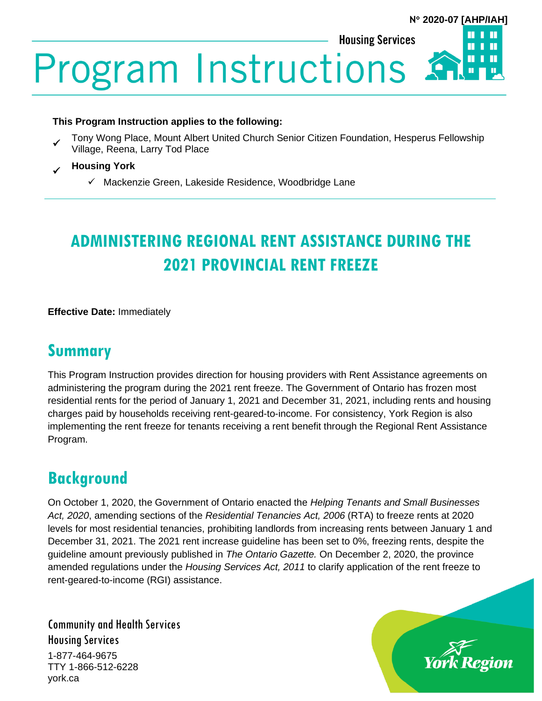Ш

П

**Housing Services** 

**Program Instructions** 

#### **This Program Instruction applies to the following:**

✓ Tony Wong Place, Mount Albert United Church Senior Citizen Foundation, Hesperus Fellowship Village, Reena, Larry Tod Place

#### ✓ **Housing York**

✓ Mackenzie Green, Lakeside Residence, Woodbridge Lane

# **ADMINISTERING REGIONAL RENT ASSISTANCE DURING THE 2021 PROVINCIAL RENT FREEZE**

**Effective Date:** Immediately

## **Summary**

This Program Instruction provides direction for housing providers with Rent Assistance agreements on administering the program during the 2021 rent freeze. The Government of Ontario has frozen most residential rents for the period of January 1, 2021 and December 31, 2021, including rents and housing charges paid by households receiving rent-geared-to-income. For consistency, York Region is also implementing the rent freeze for tenants receiving a rent benefit through the Regional Rent Assistance Program.

## **Background**

On October 1, 2020, the Government of Ontario enacted the *Helping Tenants and Small Businesses Act, 2020*, amending sections of the *Residential Tenancies Act, 2006* (RTA) to freeze rents at 2020 levels for most residential tenancies, prohibiting landlords from increasing rents between January 1 and December 31, 2021. The 2021 rent increase guideline has been set to 0%, freezing rents, despite the guideline amount previously published in *The Ontario Gazette.* On December 2, 2020, the province amended regulations under the *Housing Services Act, 2011* to clarify application of the rent freeze to rent-geared-to-income (RGI) assistance.

Community and Health Services Housing Services

1-877-464-9675 TTY 1-866-512-6228 york.ca

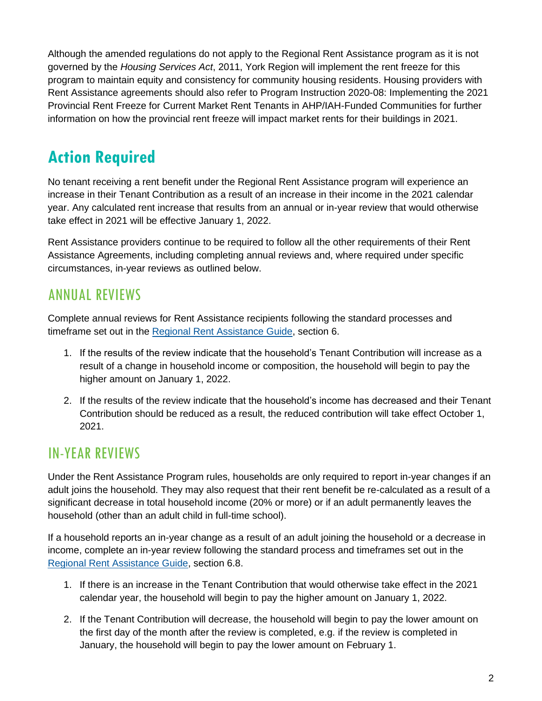Although the amended regulations do not apply to the Regional Rent Assistance program as it is not governed by the *Housing Services Act*, 2011, York Region will implement the rent freeze for this program to maintain equity and consistency for community housing residents. Housing providers with Rent Assistance agreements should also refer to Program Instruction 2020-08: Implementing the 2021 Provincial Rent Freeze for Current Market Rent Tenants in AHP/IAH-Funded Communities for further information on how the provincial rent freeze will impact market rents for their buildings in 2021.

## **Action Required**

No tenant receiving a rent benefit under the Regional Rent Assistance program will experience an increase in their Tenant Contribution as a result of an increase in their income in the 2021 calendar year. Any calculated rent increase that results from an annual or in-year review that would otherwise take effect in 2021 will be effective January 1, 2022.

Rent Assistance providers continue to be required to follow all the other requirements of their Rent Assistance Agreements, including completing annual reviews and, where required under specific circumstances, in-year reviews as outlined below.

## ANNUAL REVIEWS

Complete annual reviews for Rent Assistance recipients following the standard processes and timeframe set out in the [Regional Rent Assistance Guide,](https://www.york.ca/wps/wcm/connect/yorkpublic/9f06c576-2505-404f-be14-241714d5e177/Regional+Rent+Assistance+guide.PDF?MOD=AJPERES&CVID=mLW0l9I) section 6.

- 1. If the results of the review indicate that the household's Tenant Contribution will increase as a result of a change in household income or composition, the household will begin to pay the higher amount on January 1, 2022.
- 2. If the results of the review indicate that the household's income has decreased and their Tenant Contribution should be reduced as a result, the reduced contribution will take effect October 1, 2021.

## IN-YEAR REVIEWS

Under the Rent Assistance Program rules, households are only required to report in-year changes if an adult joins the household. They may also request that their rent benefit be re-calculated as a result of a significant decrease in total household income (20% or more) or if an adult permanently leaves the household (other than an adult child in full-time school).

If a household reports an in-year change as a result of an adult joining the household or a decrease in income, complete an in-year review following the standard process and timeframes set out in the [Regional Rent Assistance Guide,](https://www.york.ca/wps/wcm/connect/yorkpublic/9f06c576-2505-404f-be14-241714d5e177/Regional+Rent+Assistance+guide.PDF?MOD=AJPERES&CVID=mLW0l9I) section 6.8.

- 1. If there is an increase in the Tenant Contribution that would otherwise take effect in the 2021 calendar year, the household will begin to pay the higher amount on January 1, 2022.
- 2. If the Tenant Contribution will decrease, the household will begin to pay the lower amount on the first day of the month after the review is completed, e.g. if the review is completed in January, the household will begin to pay the lower amount on February 1.